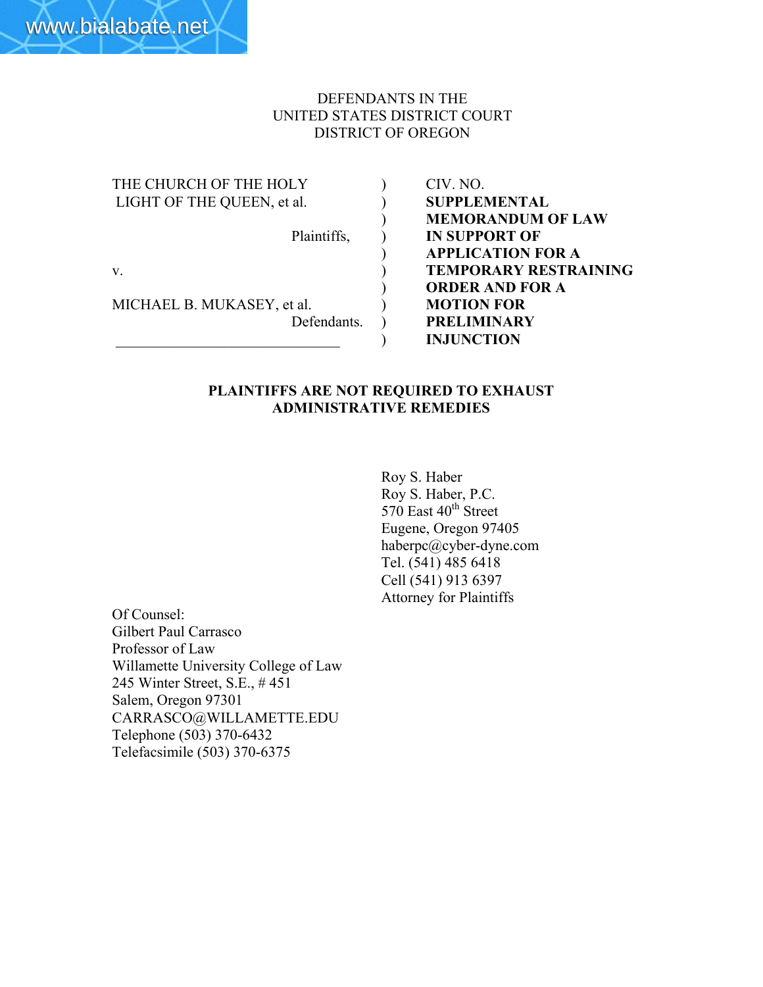#### DEFENDANTS IN THE UNITED STATES DISTRICT COURT DISTRICT OF OREGON

| THE CHURCH OF THE HOLY     |  |
|----------------------------|--|
| LIGHT OF THE QUEEN, et al. |  |
|                            |  |
| Plaintiffs,                |  |
|                            |  |
| V.                         |  |
|                            |  |
| MICHAEL B. MUKASEY, et al. |  |
| Defendants.                |  |
|                            |  |

CIV. NO. SUPPLEMENTAL ) MEMORANDUM OF LAW **IN SUPPORT OF** ) APPLICATION FOR A **TEMPORARY RESTRAINING** ) ORDER AND FOR A **MOTION FOR** PRELIMINARY \_\_\_\_\_\_\_\_\_\_\_\_\_\_\_\_\_\_\_\_\_\_\_\_\_\_\_\_\_\_ ) INJUNCTION

#### PLAINTIFFS ARE NOT REQUIRED TO EXHAUST ADMINISTRATIVE REMEDIES

Roy S. Haber Roy S. Haber, P.C.  $570$  East  $40<sup>th</sup>$  Street Eugene, Oregon 97405 haberpc@cyber-dyne.com Tel. (541) 485 6418 Cell (541) 913 6397 Attorney for Plaintiffs

Of Counsel: Gilbert Paul Carrasco Professor of Law Willamette University College of Law 245 Winter Street, S.E., # 451 Salem, Oregon 97301 CARRASCO@WILLAMETTE.EDU Telephone (503) 370-6432 Telefacsimile (503) 370-6375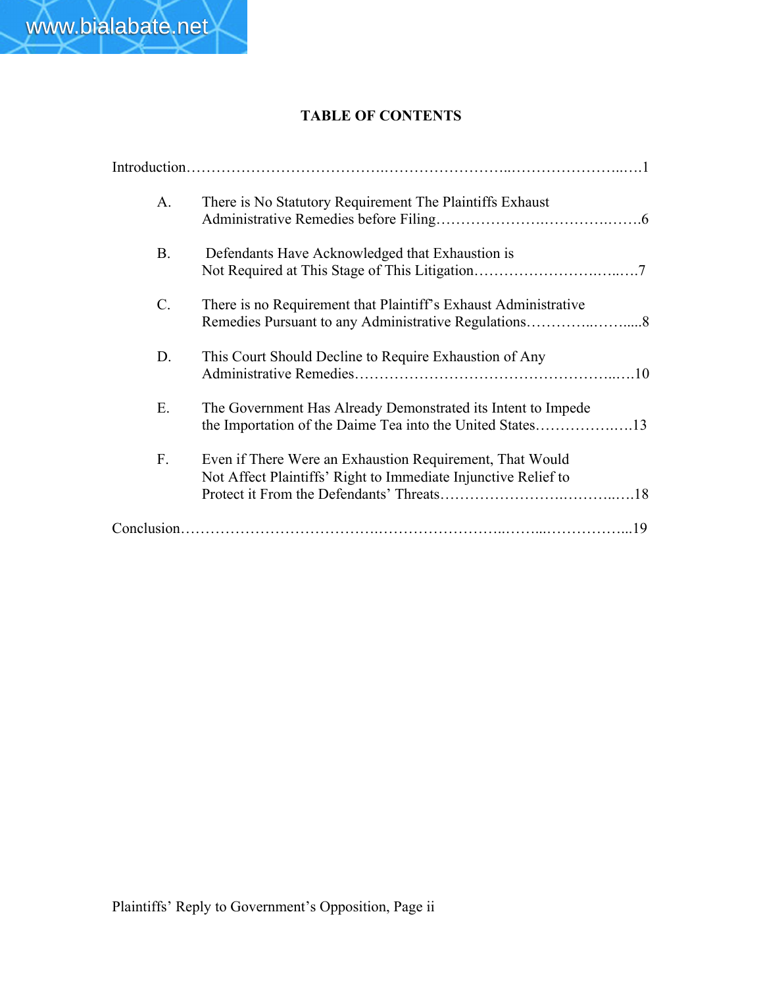

## TABLE OF CONTENTS

| A <sub>1</sub> | There is No Statutory Requirement The Plaintiffs Exhaust                                                                   |
|----------------|----------------------------------------------------------------------------------------------------------------------------|
| <b>B.</b>      | Defendants Have Acknowledged that Exhaustion is                                                                            |
| C.             | There is no Requirement that Plaintiff's Exhaust Administrative                                                            |
| D.             | This Court Should Decline to Require Exhaustion of Any                                                                     |
| Ε.             | The Government Has Already Demonstrated its Intent to Impede<br>the Importation of the Daime Tea into the United States13  |
| F.             | Even if There Were an Exhaustion Requirement, That Would<br>Not Affect Plaintiffs' Right to Immediate Injunctive Relief to |
|                |                                                                                                                            |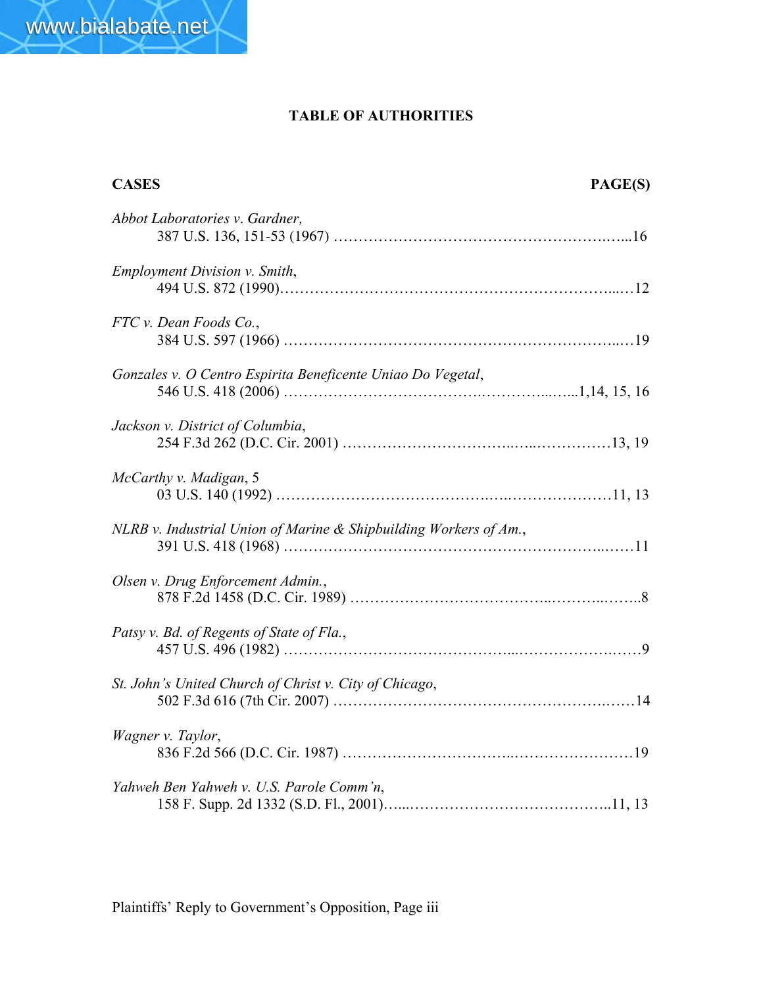# TABLE OF AUTHORITIES

| <b>CASES</b>                                                      | PAGE(S) |
|-------------------------------------------------------------------|---------|
| Abbot Laboratories v. Gardner,                                    |         |
| <b>Employment Division v. Smith,</b>                              |         |
| FTC v. Dean Foods Co.,                                            |         |
| Gonzales v. O Centro Espirita Beneficente Uniao Do Vegetal,       |         |
| Jackson v. District of Columbia,                                  |         |
| McCarthy v. Madigan, 5                                            |         |
| NLRB v. Industrial Union of Marine & Shipbuilding Workers of Am., |         |
| Olsen v. Drug Enforcement Admin.,                                 |         |
| Patsy v. Bd. of Regents of State of Fla.,                         |         |
| St. John's United Church of Christ v. City of Chicago,            |         |
| Wagner v. Taylor,                                                 |         |
| Yahweh Ben Yahweh v. U.S. Parole Comm'n,                          |         |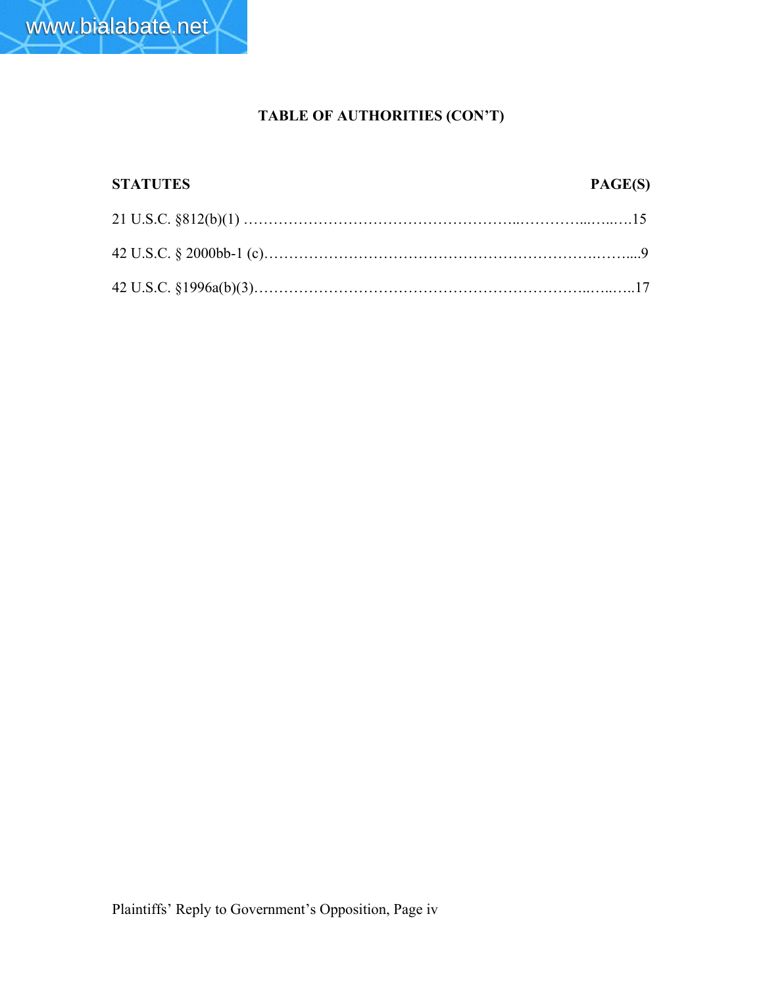

# TABLE OF AUTHORITIES (CON'T)

| <b>STATUTES</b> | PAGE(S) |
|-----------------|---------|
|                 |         |
|                 |         |
|                 |         |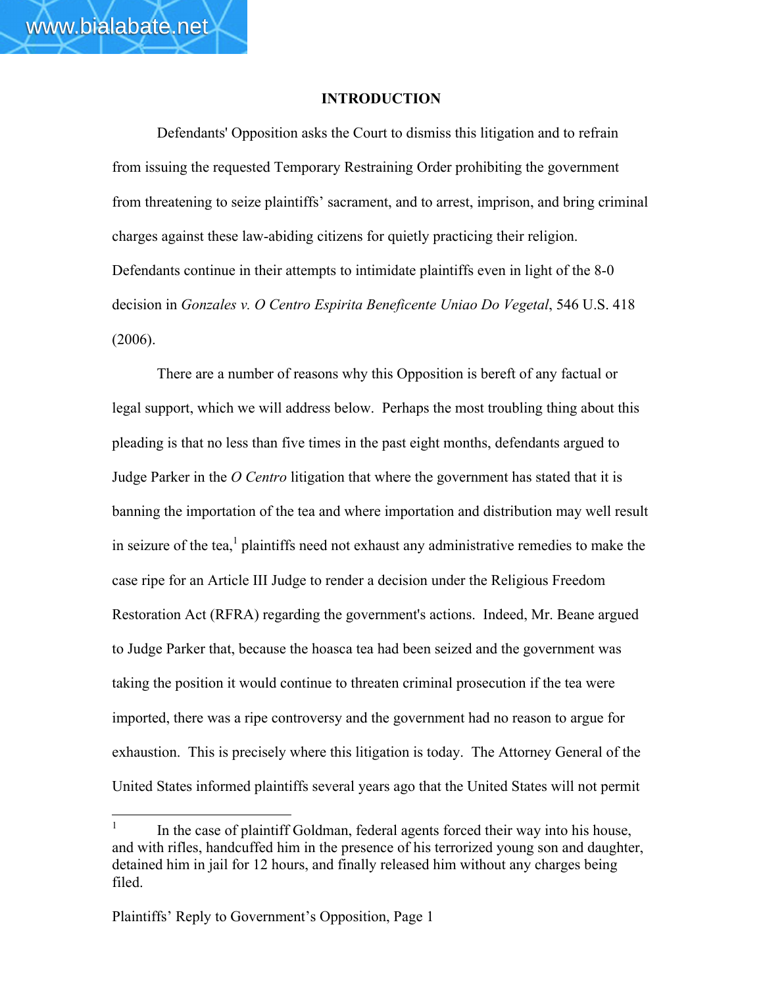#### INTRODUCTION

Defendants' Opposition asks the Court to dismiss this litigation and to refrain from issuing the requested Temporary Restraining Order prohibiting the government from threatening to seize plaintiffs' sacrament, and to arrest, imprison, and bring criminal charges against these law-abiding citizens for quietly practicing their religion. Defendants continue in their attempts to intimidate plaintiffs even in light of the 8-0 decision in *Gonzales v. O Centro Espirita Beneficente Uniao Do Vegetal*, 546 U.S. 418 (2006).

There are a number of reasons why this Opposition is bereft of any factual or legal support, which we will address below. Perhaps the most troubling thing about this pleading is that no less than five times in the past eight months, defendants argued to Judge Parker in the *O Centro* litigation that where the government has stated that it is banning the importation of the tea and where importation and distribution may well result in seizure of the tea, $<sup>1</sup>$  plaintiffs need not exhaust any administrative remedies to make the</sup> case ripe for an Article III Judge to render a decision under the Religious Freedom Restoration Act (RFRA) regarding the government's actions. Indeed, Mr. Beane argued to Judge Parker that, because the hoasca tea had been seized and the government was taking the position it would continue to threaten criminal prosecution if the tea were imported, there was a ripe controversy and the government had no reason to argue for exhaustion. This is precisely where this litigation is today. The Attorney General of the United States informed plaintiffs several years ago that the United States will not permit

 $\frac{1}{1}$  In the case of plaintiff Goldman, federal agents forced their way into his house, and with rifles, handcuffed him in the presence of his terrorized young son and daughter, detained him in jail for 12 hours, and finally released him without any charges being filed.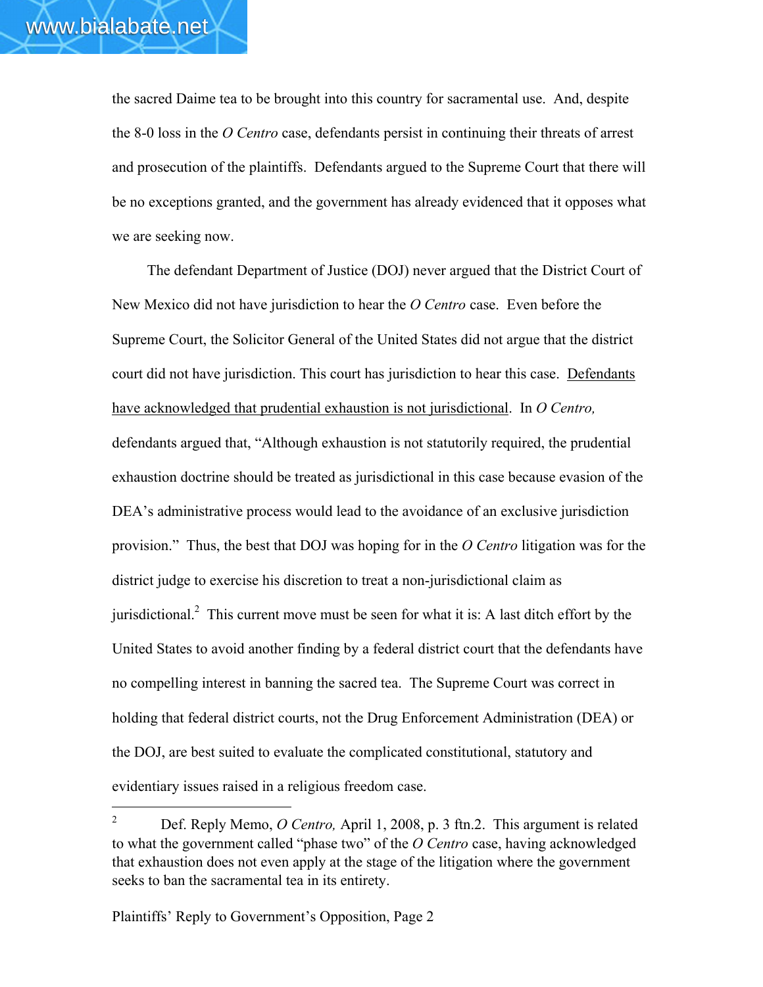$\overline{a}$ 

the sacred Daime tea to be brought into this country for sacramental use. And, despite the 8-0 loss in the *O Centro* case, defendants persist in continuing their threats of arrest and prosecution of the plaintiffs. Defendants argued to the Supreme Court that there will be no exceptions granted, and the government has already evidenced that it opposes what we are seeking now.

The defendant Department of Justice (DOJ) never argued that the District Court of New Mexico did not have jurisdiction to hear the *O Centro* case. Even before the Supreme Court, the Solicitor General of the United States did not argue that the district court did not have jurisdiction. This court has jurisdiction to hear this case. Defendants have acknowledged that prudential exhaustion is not jurisdictional. In *O Centro,* defendants argued that, "Although exhaustion is not statutorily required, the prudential exhaustion doctrine should be treated as jurisdictional in this case because evasion of the DEA's administrative process would lead to the avoidance of an exclusive jurisdiction provision." Thus, the best that DOJ was hoping for in the *O Centro* litigation was for the district judge to exercise his discretion to treat a non-jurisdictional claim as jurisdictional.<sup>2</sup> This current move must be seen for what it is: A last ditch effort by the United States to avoid another finding by a federal district court that the defendants have no compelling interest in banning the sacred tea. The Supreme Court was correct in holding that federal district courts, not the Drug Enforcement Administration (DEA) or the DOJ, are best suited to evaluate the complicated constitutional, statutory and evidentiary issues raised in a religious freedom case.

<sup>2</sup> Def. Reply Memo, *O Centro,* April 1, 2008, p. 3 ftn.2. This argument is related to what the government called "phase two" of the *O Centro* case, having acknowledged that exhaustion does not even apply at the stage of the litigation where the government seeks to ban the sacramental tea in its entirety.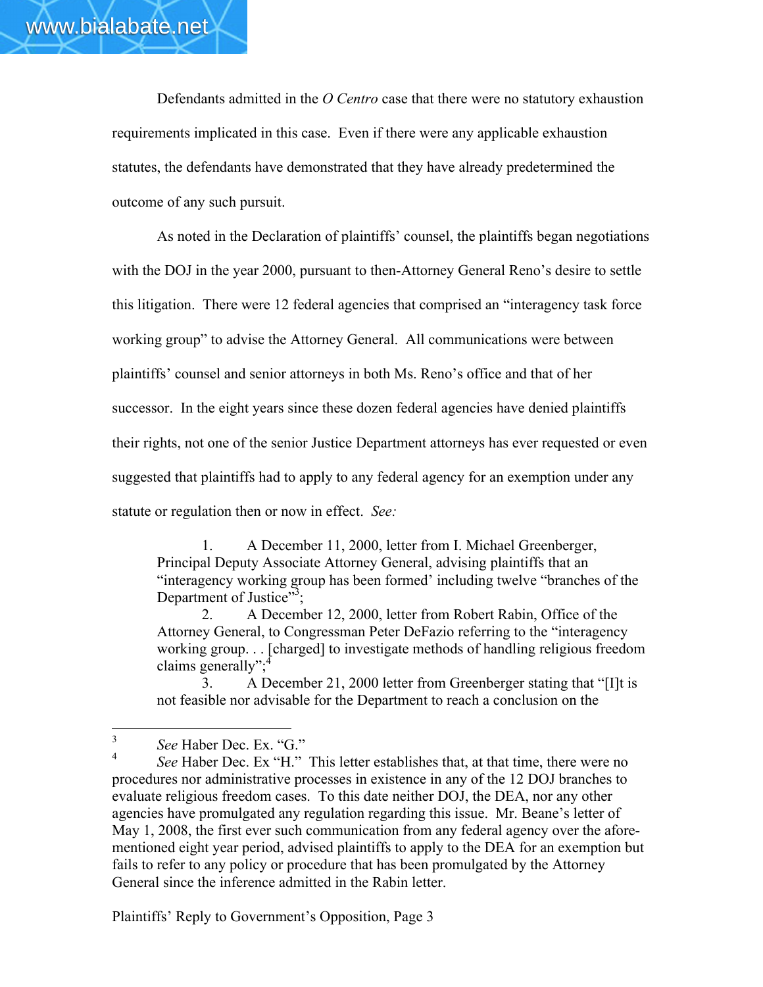Defendants admitted in the *O Centro* case that there were no statutory exhaustion requirements implicated in this case. Even if there were any applicable exhaustion statutes, the defendants have demonstrated that they have already predetermined the outcome of any such pursuit.

As noted in the Declaration of plaintiffs' counsel, the plaintiffs began negotiations with the DOJ in the year 2000, pursuant to then-Attorney General Reno's desire to settle this litigation. There were 12 federal agencies that comprised an "interagency task force working group" to advise the Attorney General. All communications were between plaintiffs' counsel and senior attorneys in both Ms. Reno's office and that of her successor. In the eight years since these dozen federal agencies have denied plaintiffs their rights, not one of the senior Justice Department attorneys has ever requested or even suggested that plaintiffs had to apply to any federal agency for an exemption under any statute or regulation then or now in effect. *See:*

1. A December 11, 2000, letter from I. Michael Greenberger, Principal Deputy Associate Attorney General, advising plaintiffs that an "interagency working group has been formed' including twelve "branches of the Department of Justice"<sup>3</sup>;

2. A December 12, 2000, letter from Robert Rabin, Office of the Attorney General, to Congressman Peter DeFazio referring to the "interagency working group. . . [charged] to investigate methods of handling religious freedom claims generally";

3. A December 21, 2000 letter from Greenberger stating that "[I]t is not feasible nor advisable for the Department to reach a conclusion on the

<sup>3</sup> *See* Haber Dec. Ex. "G."

See Haber Dec. Ex "H." This letter establishes that, at that time, there were no procedures nor administrative processes in existence in any of the 12 DOJ branches to evaluate religious freedom cases. To this date neither DOJ, the DEA, nor any other agencies have promulgated any regulation regarding this issue. Mr. Beane's letter of May 1, 2008, the first ever such communication from any federal agency over the aforementioned eight year period, advised plaintiffs to apply to the DEA for an exemption but fails to refer to any policy or procedure that has been promulgated by the Attorney General since the inference admitted in the Rabin letter.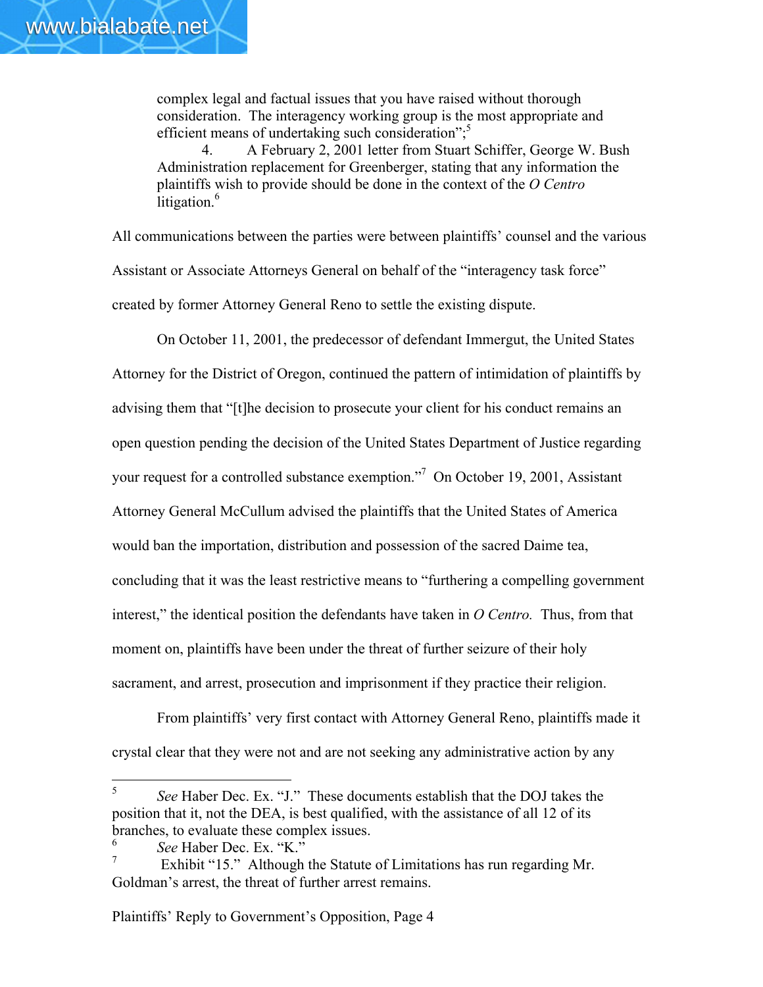complex legal and factual issues that you have raised without thorough consideration. The interagency working group is the most appropriate and efficient means of undertaking such consideration";<sup>5</sup>

4. A February 2, 2001 letter from Stuart Schiffer, George W. Bush Administration replacement for Greenberger, stating that any information the plaintiffs wish to provide should be done in the context of the *O Centro* litigation. $6$ 

All communications between the parties were between plaintiffs' counsel and the various Assistant or Associate Attorneys General on behalf of the "interagency task force" created by former Attorney General Reno to settle the existing dispute.

On October 11, 2001, the predecessor of defendant Immergut, the United States Attorney for the District of Oregon, continued the pattern of intimidation of plaintiffs by advising them that "[t]he decision to prosecute your client for his conduct remains an open question pending the decision of the United States Department of Justice regarding your request for a controlled substance exemption."<sup>7</sup> On October 19, 2001, Assistant Attorney General McCullum advised the plaintiffs that the United States of America would ban the importation, distribution and possession of the sacred Daime tea, concluding that it was the least restrictive means to "furthering a compelling government interest," the identical position the defendants have taken in *O Centro.* Thus, from that moment on, plaintiffs have been under the threat of further seizure of their holy sacrament, and arrest, prosecution and imprisonment if they practice their religion.

From plaintiffs' very first contact with Attorney General Reno, plaintiffs made it crystal clear that they were not and are not seeking any administrative action by any

<sup>5</sup> *See* Haber Dec. Ex. "J." These documents establish that the DOJ takes the position that it, not the DEA, is best qualified, with the assistance of all 12 of its branches, to evaluate these complex issues.

<sup>6</sup> *See* Haber Dec. Ex. "K."

Exhibit "15." Although the Statute of Limitations has run regarding Mr. Goldman's arrest, the threat of further arrest remains.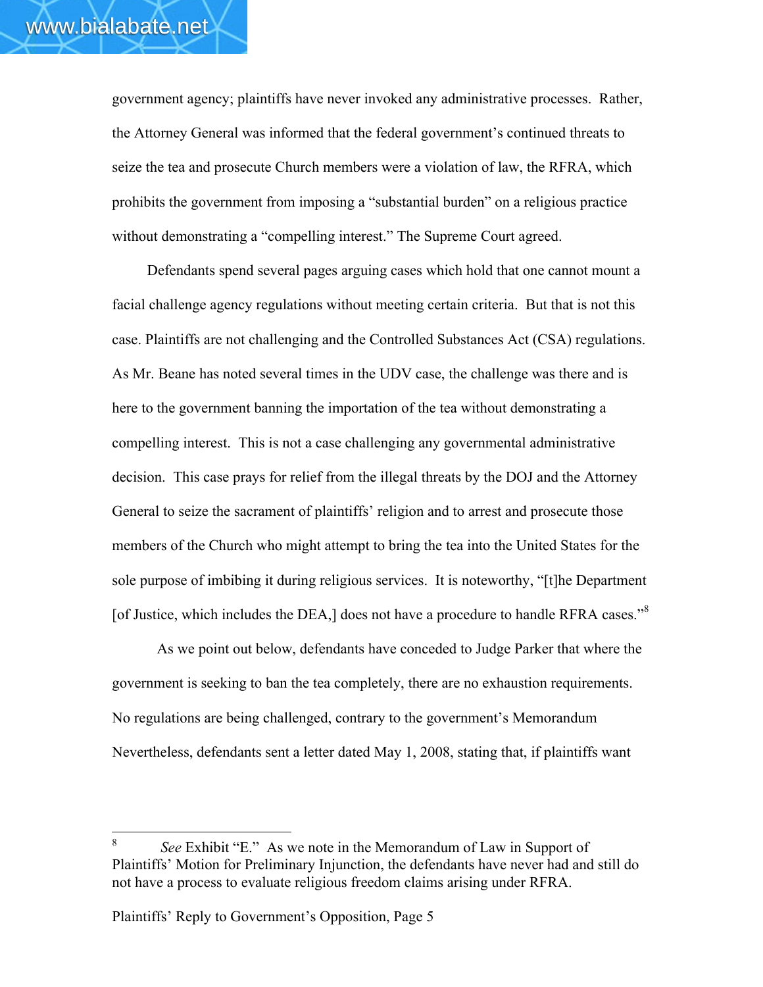government agency; plaintiffs have never invoked any administrative processes. Rather, the Attorney General was informed that the federal government's continued threats to seize the tea and prosecute Church members were a violation of law, the RFRA, which prohibits the government from imposing a "substantial burden" on a religious practice without demonstrating a "compelling interest." The Supreme Court agreed.

Defendants spend several pages arguing cases which hold that one cannot mount a facial challenge agency regulations without meeting certain criteria. But that is not this case. Plaintiffs are not challenging and the Controlled Substances Act (CSA) regulations. As Mr. Beane has noted several times in the UDV case, the challenge was there and is here to the government banning the importation of the tea without demonstrating a compelling interest. This is not a case challenging any governmental administrative decision. This case prays for relief from the illegal threats by the DOJ and the Attorney General to seize the sacrament of plaintiffs' religion and to arrest and prosecute those members of the Church who might attempt to bring the tea into the United States for the sole purpose of imbibing it during religious services. It is noteworthy, "[t]he Department [of Justice, which includes the DEA,] does not have a procedure to handle RFRA cases."<sup>8</sup>

As we point out below, defendants have conceded to Judge Parker that where the government is seeking to ban the tea completely, there are no exhaustion requirements. No regulations are being challenged, contrary to the government's Memorandum Nevertheless, defendants sent a letter dated May 1, 2008, stating that, if plaintiffs want

<sup>8</sup> *See* Exhibit "E." As we note in the Memorandum of Law in Support of Plaintiffs' Motion for Preliminary Injunction, the defendants have never had and still do not have a process to evaluate religious freedom claims arising under RFRA.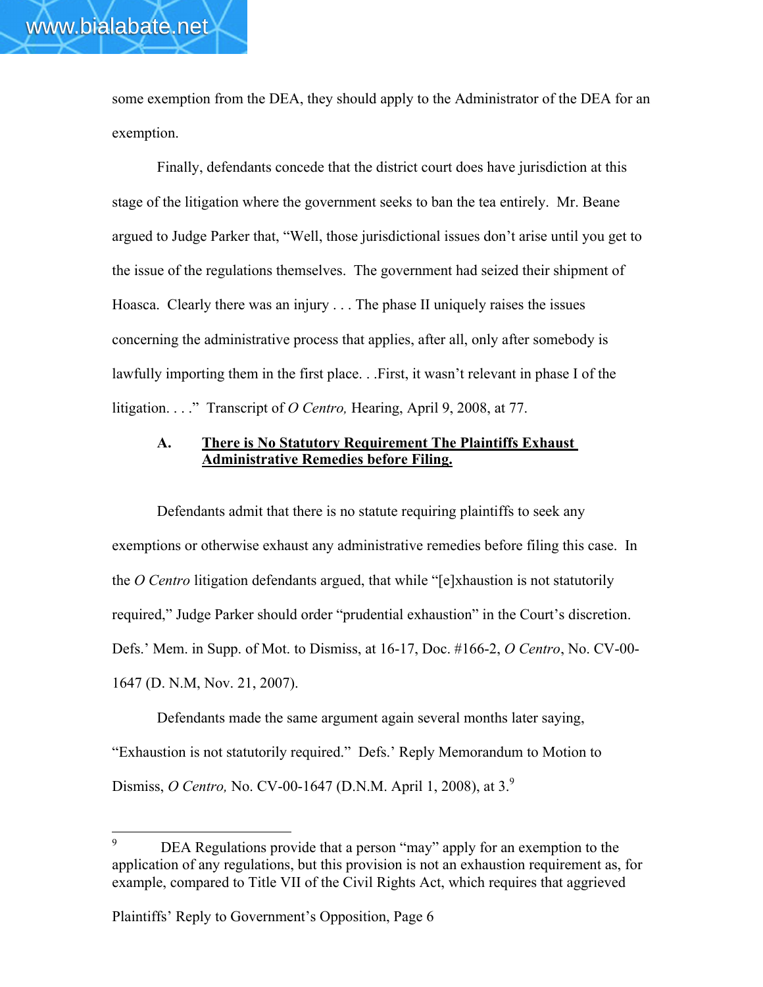some exemption from the DEA, they should apply to the Administrator of the DEA for an exemption.

Finally, defendants concede that the district court does have jurisdiction at this stage of the litigation where the government seeks to ban the tea entirely. Mr. Beane argued to Judge Parker that, "Well, those jurisdictional issues don't arise until you get to the issue of the regulations themselves. The government had seized their shipment of Hoasca. Clearly there was an injury . . . The phase II uniquely raises the issues concerning the administrative process that applies, after all, only after somebody is lawfully importing them in the first place. . .First, it wasn't relevant in phase I of the litigation. . . ." Transcript of *O Centro,* Hearing, April 9, 2008, at 77.

#### A. There is No Statutory Requirement The Plaintiffs Exhaust Administrative Remedies before Filing.

Defendants admit that there is no statute requiring plaintiffs to seek any exemptions or otherwise exhaust any administrative remedies before filing this case. In the *O Centro* litigation defendants argued, that while "[e]xhaustion is not statutorily required," Judge Parker should order "prudential exhaustion" in the Court's discretion. Defs.' Mem. in Supp. of Mot. to Dismiss, at 16-17, Doc. #166-2, *O Centro*, No. CV-00- 1647 (D. N.M, Nov. 21, 2007).

Defendants made the same argument again several months later saying, "Exhaustion is not statutorily required." Defs.' Reply Memorandum to Motion to Dismiss, *O Centro,* No. CV-00-1647 (D.N.M. April 1, 2008), at 3.9

 $^{9}$  DEA Regulations provide that a person "may" apply for an exemption to the application of any regulations, but this provision is not an exhaustion requirement as, for example, compared to Title VII of the Civil Rights Act, which requires that aggrieved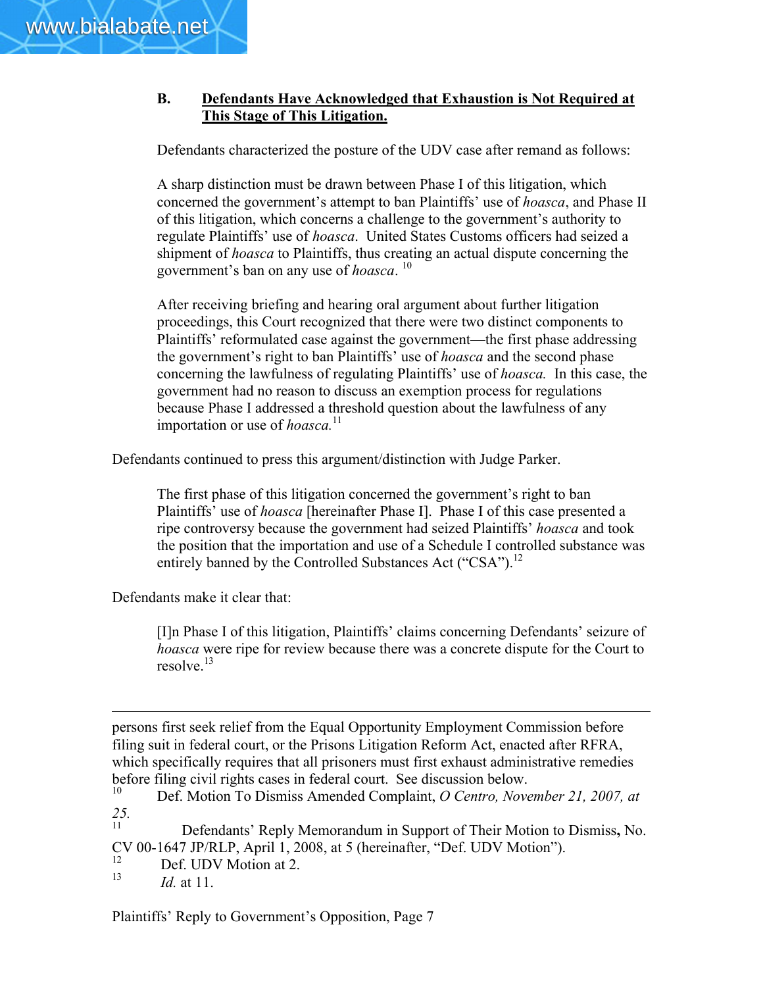## B. Defendants Have Acknowledged that Exhaustion is Not Required at This Stage of This Litigation.

Defendants characterized the posture of the UDV case after remand as follows:

A sharp distinction must be drawn between Phase I of this litigation, which concerned the government's attempt to ban Plaintiffs' use of *hoasca*, and Phase II of this litigation, which concerns a challenge to the government's authority to regulate Plaintiffs' use of *hoasca*. United States Customs officers had seized a shipment of *hoasca* to Plaintiffs, thus creating an actual dispute concerning the government's ban on any use of *hoasca*. <sup>10</sup>

After receiving briefing and hearing oral argument about further litigation proceedings, this Court recognized that there were two distinct components to Plaintiffs' reformulated case against the government—the first phase addressing the government's right to ban Plaintiffs' use of *hoasca* and the second phase concerning the lawfulness of regulating Plaintiffs' use of *hoasca.* In this case, the government had no reason to discuss an exemption process for regulations because Phase I addressed a threshold question about the lawfulness of any importation or use of *hoasca*.<sup>11</sup>

Defendants continued to press this argument/distinction with Judge Parker.

The first phase of this litigation concerned the government's right to ban Plaintiffs' use of *hoasca* [hereinafter Phase I]. Phase I of this case presented a ripe controversy because the government had seized Plaintiffs' *hoasca* and took the position that the importation and use of a Schedule I controlled substance was entirely banned by the Controlled Substances Act ("CSA").<sup>12</sup>

Defendants make it clear that:

[I]n Phase I of this litigation, Plaintiffs' claims concerning Defendants' seizure of *hoasca* were ripe for review because there was a concrete dispute for the Court to resolve.<sup>13</sup>

 $\overline{a}$ persons first seek relief from the Equal Opportunity Employment Commission before filing suit in federal court, or the Prisons Litigation Reform Act, enacted after RFRA, which specifically requires that all prisoners must first exhaust administrative remedies before filing civil rights cases in federal court. See discussion below.<br> $^{10}$  Def Motion To Dismiss Amended Complaint O Centro Nove

Defendants' Reply Memorandum in Support of Their Motion to Dismiss, No. CV 00-1647 JP/RLP, April 1, 2008, at 5 (hereinafter, "Def. UDV Motion").

 $\frac{12}{13}$  Def. UDV Motion at 2.

*Id.* at 11.

<sup>10</sup> Def. Motion To Dismiss Amended Complaint, *O Centro, November 21, 2007, at 25.*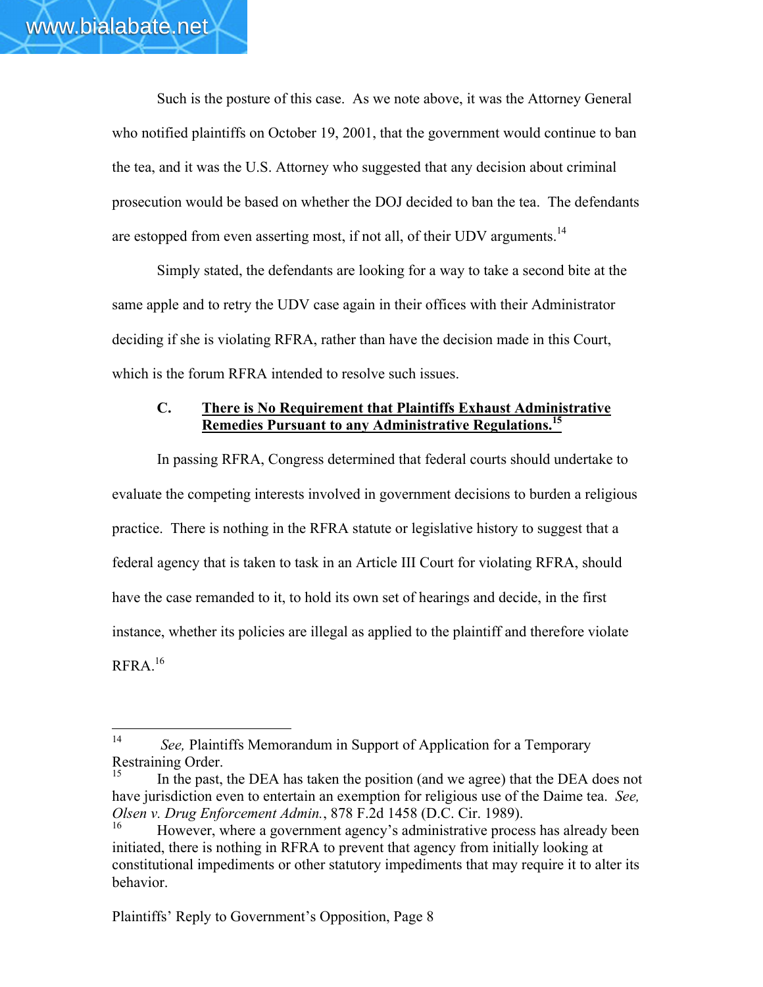Such is the posture of this case. As we note above, it was the Attorney General who notified plaintiffs on October 19, 2001, that the government would continue to ban the tea, and it was the U.S. Attorney who suggested that any decision about criminal prosecution would be based on whether the DOJ decided to ban the tea. The defendants are estopped from even asserting most, if not all, of their UDV arguments.<sup>14</sup>

Simply stated, the defendants are looking for a way to take a second bite at the same apple and to retry the UDV case again in their offices with their Administrator deciding if she is violating RFRA, rather than have the decision made in this Court, which is the forum RFRA intended to resolve such issues.

### C. There is No Requirement that Plaintiffs Exhaust Administrative Remedies Pursuant to any Administrative Regulations.<sup>15</sup>

In passing RFRA, Congress determined that federal courts should undertake to evaluate the competing interests involved in government decisions to burden a religious practice. There is nothing in the RFRA statute or legislative history to suggest that a federal agency that is taken to task in an Article III Court for violating RFRA, should have the case remanded to it, to hold its own set of hearings and decide, in the first instance, whether its policies are illegal as applied to the plaintiff and therefore violate  $RFRA.<sup>16</sup>$ 

<sup>&</sup>lt;sup>14</sup> *See,* Plaintiffs Memorandum in Support of Application for a Temporary Restraining Order.

In the past, the DEA has taken the position (and we agree) that the DEA does not have jurisdiction even to entertain an exemption for religious use of the Daime tea. *See, Olsen v. Drug Enforcement Admin.*, 878 F.2d 1458 (D.C. Cir. 1989).

<sup>16</sup> However, where a government agency's administrative process has already been initiated, there is nothing in RFRA to prevent that agency from initially looking at constitutional impediments or other statutory impediments that may require it to alter its behavior.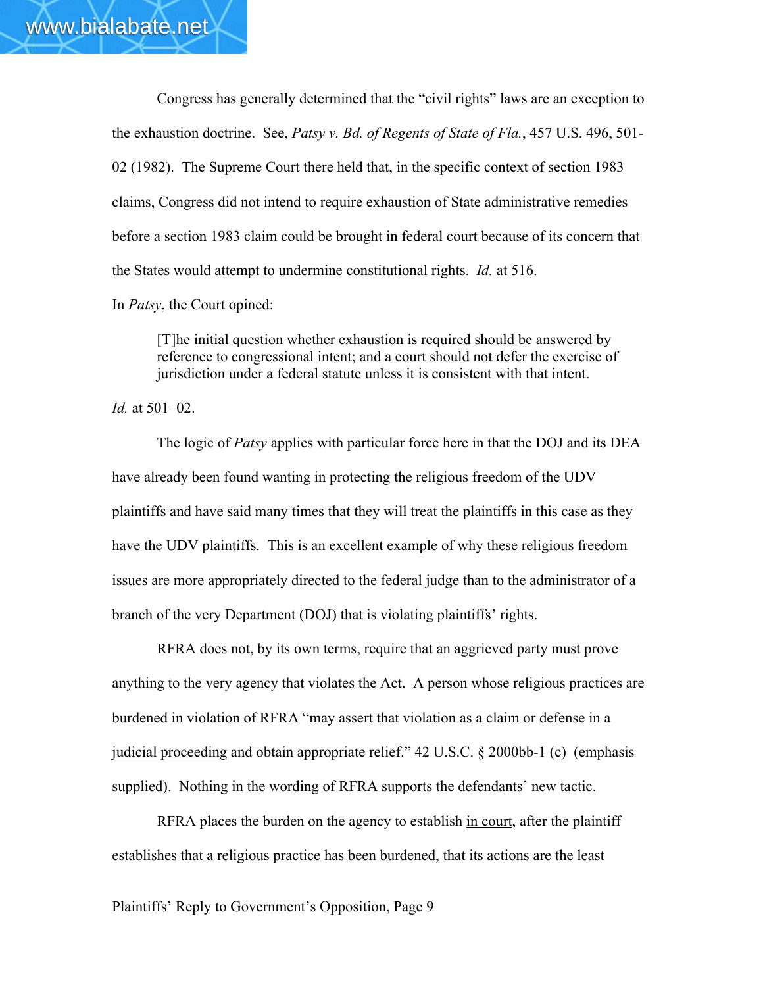Congress has generally determined that the "civil rights" laws are an exception to the exhaustion doctrine. See, *Patsy v. Bd. of Regents of State of Fla.*, 457 U.S. 496, 501- 02 (1982). The Supreme Court there held that, in the specific context of section 1983 claims, Congress did not intend to require exhaustion of State administrative remedies before a section 1983 claim could be brought in federal court because of its concern that the States would attempt to undermine constitutional rights. *Id.* at 516.

In *Patsy*, the Court opined:

[T]he initial question whether exhaustion is required should be answered by reference to congressional intent; and a court should not defer the exercise of jurisdiction under a federal statute unless it is consistent with that intent.

*Id.* at 501–02.

The logic of *Patsy* applies with particular force here in that the DOJ and its DEA have already been found wanting in protecting the religious freedom of the UDV plaintiffs and have said many times that they will treat the plaintiffs in this case as they have the UDV plaintiffs. This is an excellent example of why these religious freedom issues are more appropriately directed to the federal judge than to the administrator of a branch of the very Department (DOJ) that is violating plaintiffs' rights.

RFRA does not, by its own terms, require that an aggrieved party must prove anything to the very agency that violates the Act. A person whose religious practices are burdened in violation of RFRA "may assert that violation as a claim or defense in a judicial proceeding and obtain appropriate relief." 42 U.S.C. § 2000bb-1 (c) (emphasis supplied). Nothing in the wording of RFRA supports the defendants' new tactic.

RFRA places the burden on the agency to establish in court, after the plaintiff establishes that a religious practice has been burdened, that its actions are the least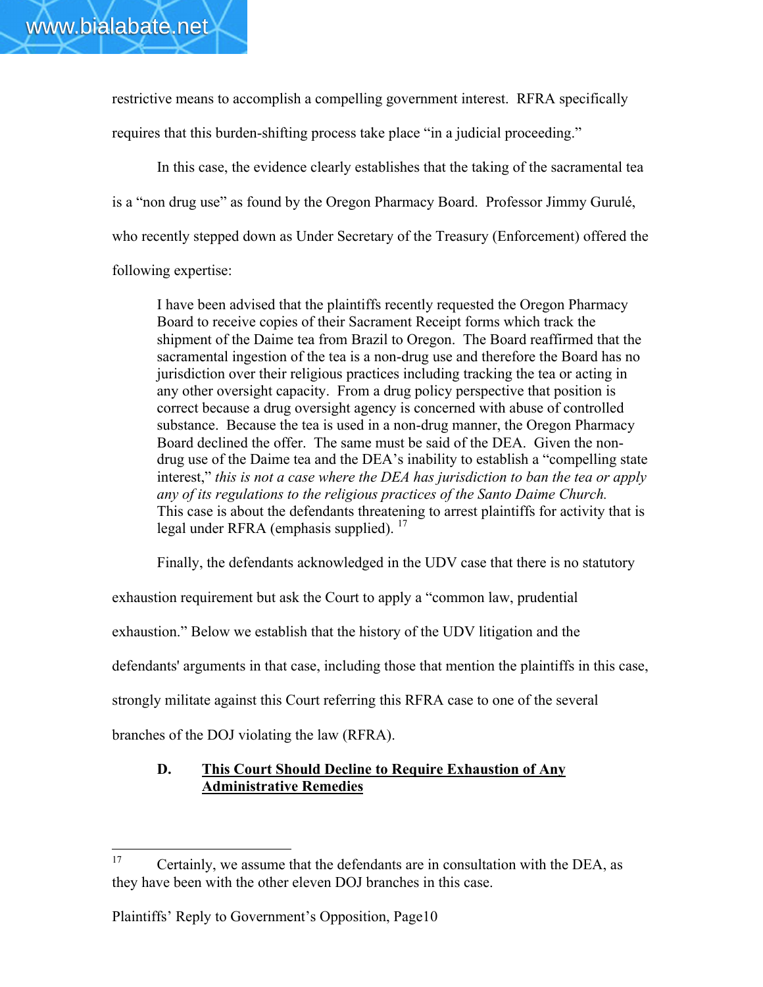restrictive means to accomplish a compelling government interest. RFRA specifically requires that this burden-shifting process take place "in a judicial proceeding."

In this case, the evidence clearly establishes that the taking of the sacramental tea is a "non drug use" as found by the Oregon Pharmacy Board. Professor Jimmy Gurulé, who recently stepped down as Under Secretary of the Treasury (Enforcement) offered the following expertise:

I have been advised that the plaintiffs recently requested the Oregon Pharmacy Board to receive copies of their Sacrament Receipt forms which track the shipment of the Daime tea from Brazil to Oregon. The Board reaffirmed that the sacramental ingestion of the tea is a non-drug use and therefore the Board has no jurisdiction over their religious practices including tracking the tea or acting in any other oversight capacity. From a drug policy perspective that position is correct because a drug oversight agency is concerned with abuse of controlled substance. Because the tea is used in a non-drug manner, the Oregon Pharmacy Board declined the offer. The same must be said of the DEA. Given the nondrug use of the Daime tea and the DEA's inability to establish a "compelling state interest," *this is not a case where the DEA has jurisdiction to ban the tea or apply any of its regulations to the religious practices of the Santo Daime Church.* This case is about the defendants threatening to arrest plaintiffs for activity that is legal under RFRA (emphasis supplied).<sup>17</sup>

Finally, the defendants acknowledged in the UDV case that there is no statutory

exhaustion requirement but ask the Court to apply a "common law, prudential

exhaustion." Below we establish that the history of the UDV litigation and the

defendants' arguments in that case, including those that mention the plaintiffs in this case,

strongly militate against this Court referring this RFRA case to one of the several

branches of the DOJ violating the law (RFRA).

## D. This Court Should Decline to Require Exhaustion of Any Administrative Remedies

<sup>&</sup>lt;sup>17</sup> Certainly, we assume that the defendants are in consultation with the DEA, as they have been with the other eleven DOJ branches in this case.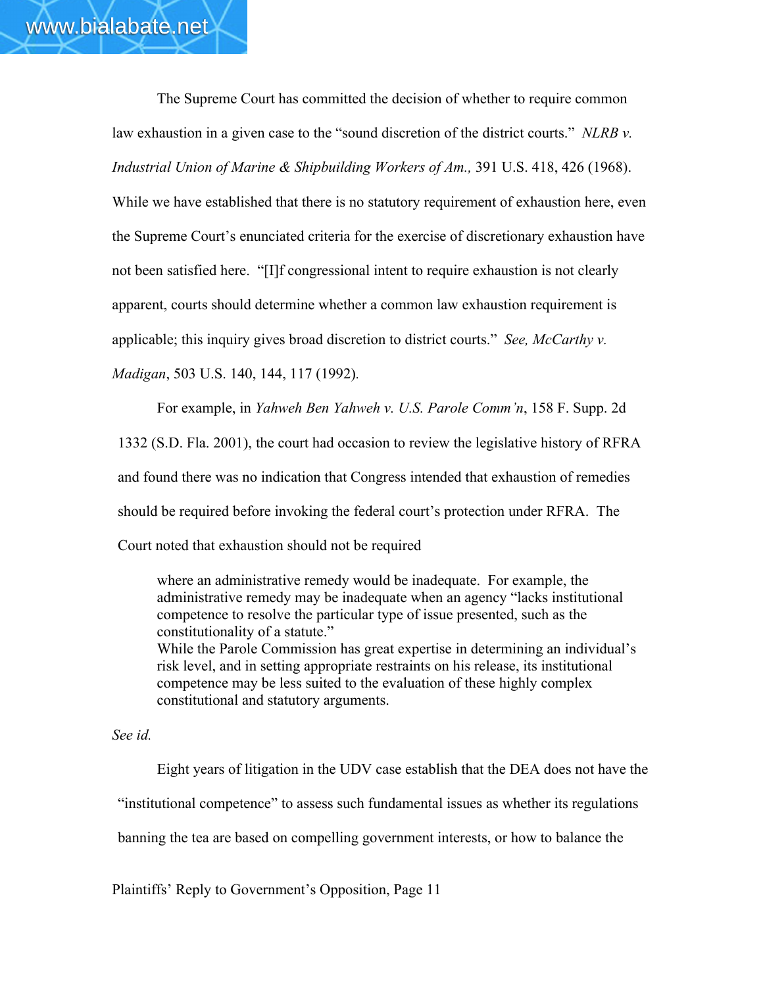The Supreme Court has committed the decision of whether to require common law exhaustion in a given case to the "sound discretion of the district courts." *NLRB v. Industrial Union of Marine & Shipbuilding Workers of Am.,* 391 U.S. 418, 426 (1968).

While we have established that there is no statutory requirement of exhaustion here, even the Supreme Court's enunciated criteria for the exercise of discretionary exhaustion have not been satisfied here. "[I]f congressional intent to require exhaustion is not clearly apparent, courts should determine whether a common law exhaustion requirement is applicable; this inquiry gives broad discretion to district courts." *See, McCarthy v. Madigan*, 503 U.S. 140, 144, 117 (1992)*.*

For example, in *Yahweh Ben Yahweh v. U.S. Parole Comm'n*, 158 F. Supp. 2d 1332 (S.D. Fla. 2001), the court had occasion to review the legislative history of RFRA and found there was no indication that Congress intended that exhaustion of remedies should be required before invoking the federal court's protection under RFRA. The Court noted that exhaustion should not be required

where an administrative remedy would be inadequate. For example, the administrative remedy may be inadequate when an agency "lacks institutional competence to resolve the particular type of issue presented, such as the constitutionality of a statute." While the Parole Commission has great expertise in determining an individual's risk level, and in setting appropriate restraints on his release, its institutional competence may be less suited to the evaluation of these highly complex constitutional and statutory arguments.

*See id.*

Eight years of litigation in the UDV case establish that the DEA does not have the "institutional competence" to assess such fundamental issues as whether its regulations banning the tea are based on compelling government interests, or how to balance the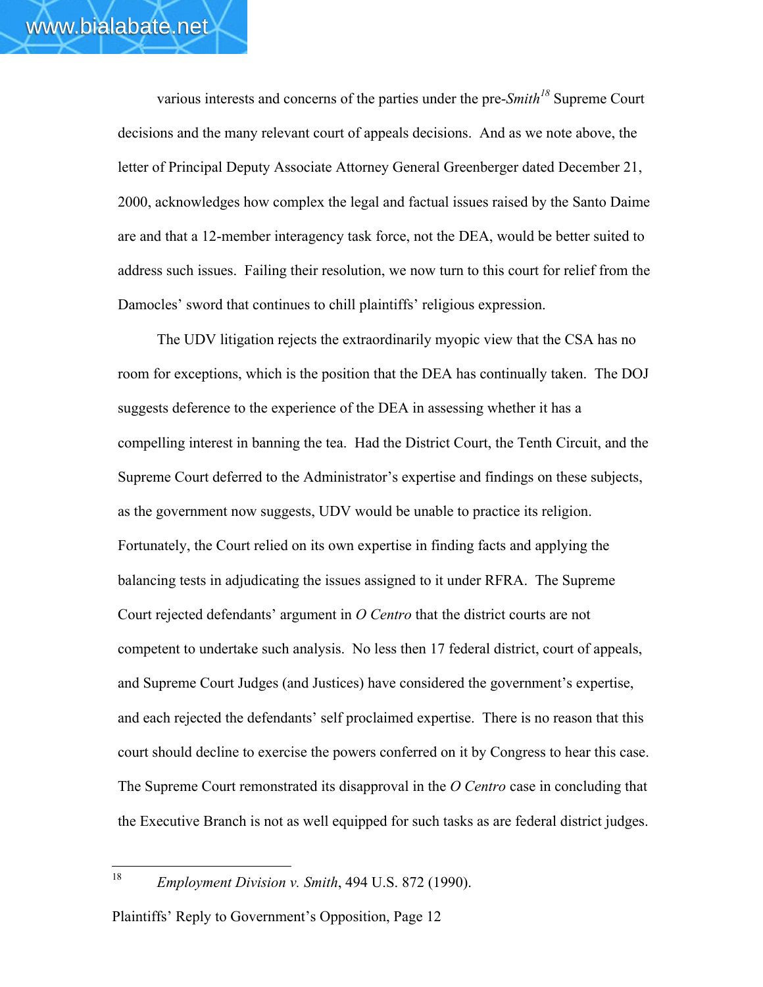various interests and concerns of the parties under the pre-*Smith<sup>18</sup>* Supreme Court decisions and the many relevant court of appeals decisions. And as we note above, the letter of Principal Deputy Associate Attorney General Greenberger dated December 21, 2000, acknowledges how complex the legal and factual issues raised by the Santo Daime are and that a 12-member interagency task force, not the DEA, would be better suited to address such issues. Failing their resolution, we now turn to this court for relief from the Damocles' sword that continues to chill plaintiffs' religious expression.

The UDV litigation rejects the extraordinarily myopic view that the CSA has no room for exceptions, which is the position that the DEA has continually taken. The DOJ suggests deference to the experience of the DEA in assessing whether it has a compelling interest in banning the tea. Had the District Court, the Tenth Circuit, and the Supreme Court deferred to the Administrator's expertise and findings on these subjects, as the government now suggests, UDV would be unable to practice its religion. Fortunately, the Court relied on its own expertise in finding facts and applying the balancing tests in adjudicating the issues assigned to it under RFRA. The Supreme Court rejected defendants' argument in *O Centro* that the district courts are not competent to undertake such analysis. No less then 17 federal district, court of appeals, and Supreme Court Judges (and Justices) have considered the government's expertise, and each rejected the defendants' self proclaimed expertise. There is no reason that this court should decline to exercise the powers conferred on it by Congress to hear this case. The Supreme Court remonstrated its disapproval in the *O Centro* case in concluding that the Executive Branch is not as well equipped for such tasks as are federal district judges.

<sup>18</sup> *Employment Division v. Smith*, 494 U.S. 872 (1990).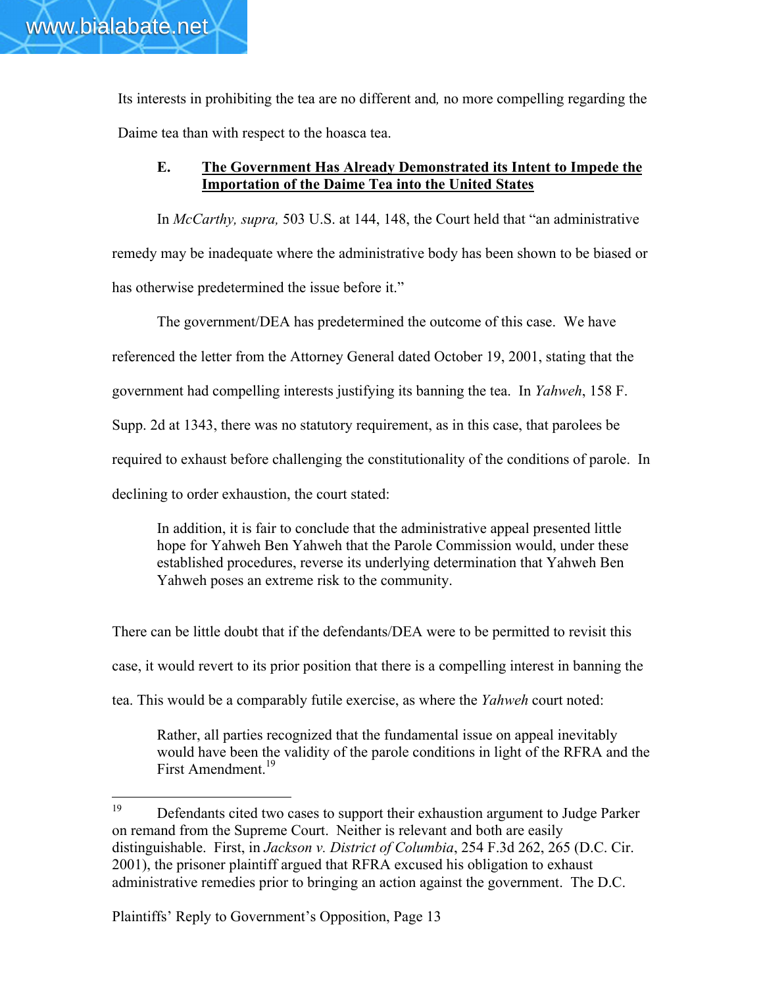www.bialabate.net

Its interests in prohibiting the tea are no different and*,* no more compelling regarding the Daime tea than with respect to the hoasca tea.

## E. The Government Has Already Demonstrated its Intent to Impede the Importation of the Daime Tea into the United States

In *McCarthy, supra,* 503 U.S. at 144, 148, the Court held that "an administrative remedy may be inadequate where the administrative body has been shown to be biased or has otherwise predetermined the issue before it."

The government/DEA has predetermined the outcome of this case. We have

referenced the letter from the Attorney General dated October 19, 2001, stating that the

government had compelling interests justifying its banning the tea. In *Yahweh*, 158 F.

Supp. 2d at 1343, there was no statutory requirement, as in this case, that parolees be

required to exhaust before challenging the constitutionality of the conditions of parole. In

declining to order exhaustion, the court stated:

In addition, it is fair to conclude that the administrative appeal presented little hope for Yahweh Ben Yahweh that the Parole Commission would, under these established procedures, reverse its underlying determination that Yahweh Ben Yahweh poses an extreme risk to the community.

There can be little doubt that if the defendants/DEA were to be permitted to revisit this case, it would revert to its prior position that there is a compelling interest in banning the tea. This would be a comparably futile exercise, as where the *Yahweh* court noted:

Rather, all parties recognized that the fundamental issue on appeal inevitably would have been the validity of the parole conditions in light of the RFRA and the First Amendment.<sup>19</sup>

<sup>&</sup>lt;sup>19</sup> Defendants cited two cases to support their exhaustion argument to Judge Parker on remand from the Supreme Court. Neither is relevant and both are easily distinguishable. First, in *Jackson v. District of Columbia*, 254 F.3d 262, 265 (D.C. Cir. 2001), the prisoner plaintiff argued that RFRA excused his obligation to exhaust administrative remedies prior to bringing an action against the government. The D.C.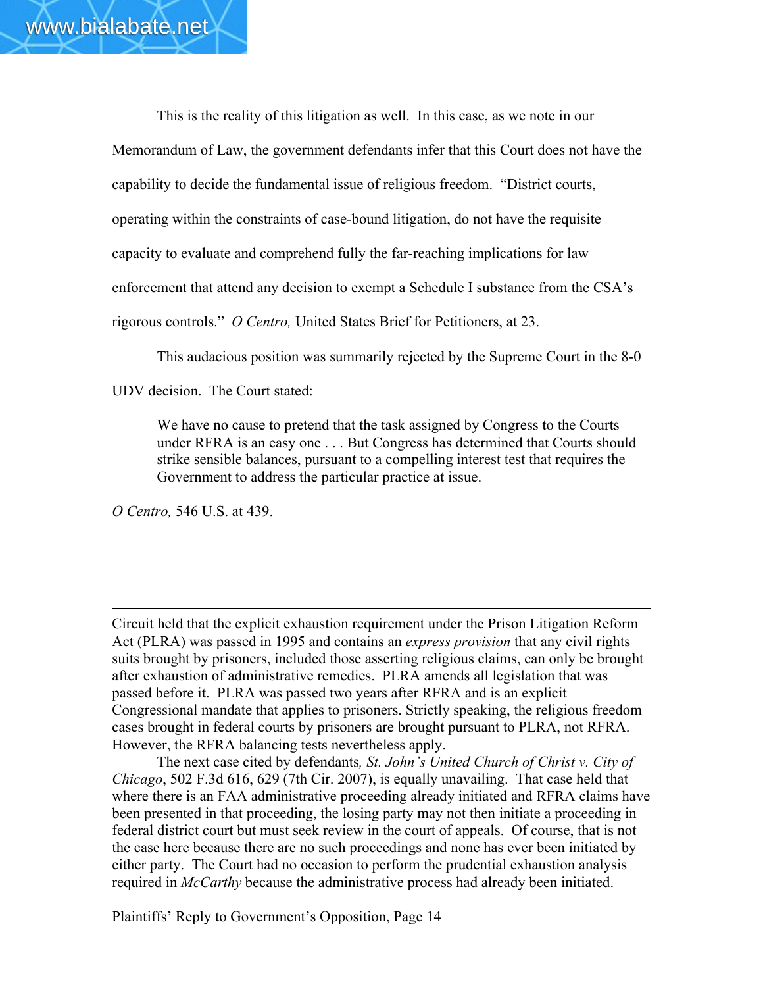This is the reality of this litigation as well. In this case, as we note in our Memorandum of Law, the government defendants infer that this Court does not have the capability to decide the fundamental issue of religious freedom. "District courts, operating within the constraints of case-bound litigation, do not have the requisite capacity to evaluate and comprehend fully the far-reaching implications for law enforcement that attend any decision to exempt a Schedule I substance from the CSA's rigorous controls." *O Centro,* United States Brief for Petitioners, at 23.

This audacious position was summarily rejected by the Supreme Court in the 8-0

UDV decision. The Court stated:

We have no cause to pretend that the task assigned by Congress to the Courts under RFRA is an easy one . . . But Congress has determined that Courts should strike sensible balances, pursuant to a compelling interest test that requires the Government to address the particular practice at issue.

*O Centro,* 546 U.S. at 439.

 $\overline{a}$ 

Circuit held that the explicit exhaustion requirement under the Prison Litigation Reform Act (PLRA) was passed in 1995 and contains an *express provision* that any civil rights suits brought by prisoners, included those asserting religious claims, can only be brought after exhaustion of administrative remedies. PLRA amends all legislation that was passed before it. PLRA was passed two years after RFRA and is an explicit Congressional mandate that applies to prisoners. Strictly speaking, the religious freedom cases brought in federal courts by prisoners are brought pursuant to PLRA, not RFRA. However, the RFRA balancing tests nevertheless apply.

The next case cited by defendants*, St. John's United Church of Christ v. City of Chicago*, 502 F.3d 616, 629 (7th Cir. 2007), is equally unavailing. That case held that where there is an FAA administrative proceeding already initiated and RFRA claims have been presented in that proceeding, the losing party may not then initiate a proceeding in federal district court but must seek review in the court of appeals. Of course, that is not the case here because there are no such proceedings and none has ever been initiated by either party. The Court had no occasion to perform the prudential exhaustion analysis required in *McCarthy* because the administrative process had already been initiated.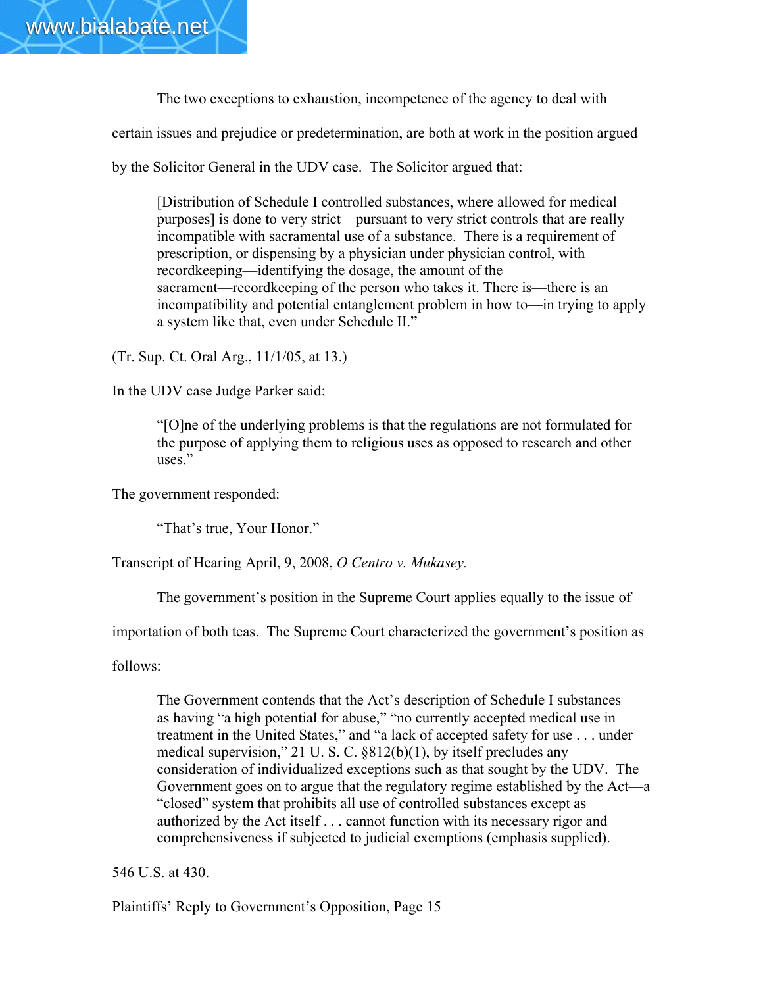

The two exceptions to exhaustion, incompetence of the agency to deal with

certain issues and prejudice or predetermination, are both at work in the position argued

by the Solicitor General in the UDV case. The Solicitor argued that:

[Distribution of Schedule I controlled substances, where allowed for medical purposes] is done to very strict—pursuant to very strict controls that are really incompatible with sacramental use of a substance. There is a requirement of prescription, or dispensing by a physician under physician control, with recordkeeping—identifying the dosage, the amount of the sacrament—recordkeeping of the person who takes it. There is—there is an incompatibility and potential entanglement problem in how to—in trying to apply a system like that, even under Schedule II."

(Tr. Sup. Ct. Oral Arg., 11/1/05, at 13.)

In the UDV case Judge Parker said:

"[O]ne of the underlying problems is that the regulations are not formulated for the purpose of applying them to religious uses as opposed to research and other uses."

The government responded:

"That's true, Your Honor."

Transcript of Hearing April, 9, 2008, *O Centro v. Mukasey.*

The government's position in the Supreme Court applies equally to the issue of

importation of both teas. The Supreme Court characterized the government's position as

follows:

The Government contends that the Act's description of Schedule I substances as having "a high potential for abuse," "no currently accepted medical use in treatment in the United States," and "a lack of accepted safety for use . . . under medical supervision," 21 U. S. C. §812(b)(1), by itself precludes any consideration of individualized exceptions such as that sought by the UDV. The Government goes on to argue that the regulatory regime established by the Act—a "closed" system that prohibits all use of controlled substances except as authorized by the Act itself . . . cannot function with its necessary rigor and comprehensiveness if subjected to judicial exemptions (emphasis supplied).

546 U.S. at 430.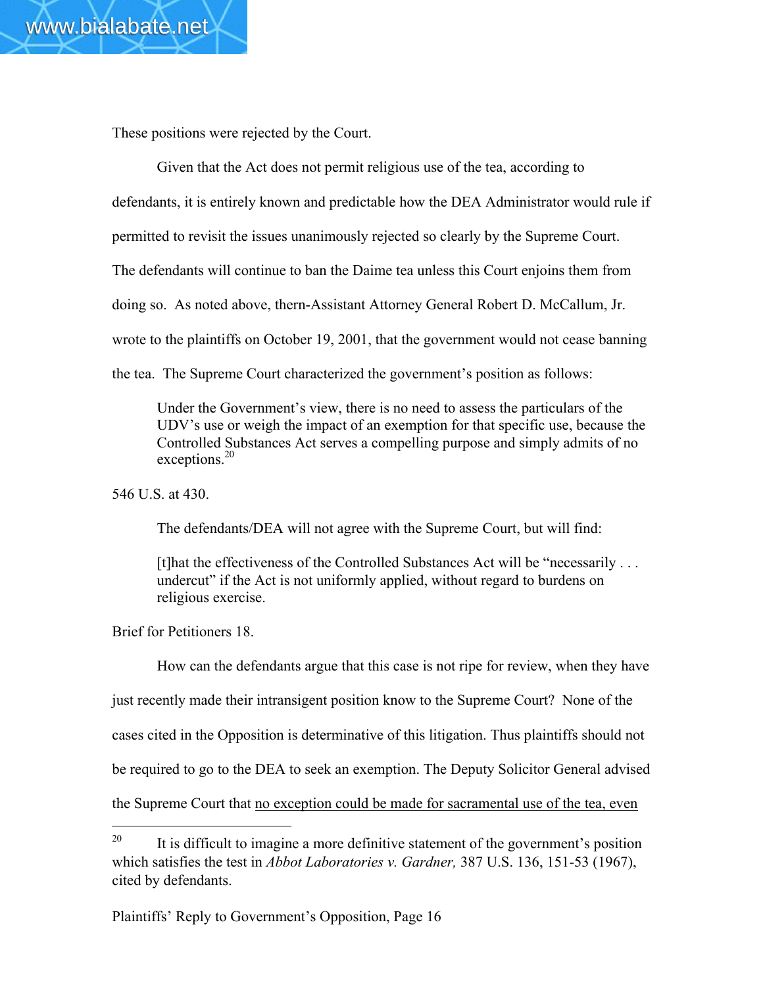These positions were rejected by the Court.

Given that the Act does not permit religious use of the tea, according to defendants, it is entirely known and predictable how the DEA Administrator would rule if permitted to revisit the issues unanimously rejected so clearly by the Supreme Court. The defendants will continue to ban the Daime tea unless this Court enjoins them from doing so. As noted above, thern-Assistant Attorney General Robert D. McCallum, Jr. wrote to the plaintiffs on October 19, 2001, that the government would not cease banning the tea. The Supreme Court characterized the government's position as follows:

Under the Government's view, there is no need to assess the particulars of the UDV's use or weigh the impact of an exemption for that specific use, because the Controlled Substances Act serves a compelling purpose and simply admits of no exceptions.<sup>20</sup>

546 U.S. at 430.

The defendants/DEA will not agree with the Supreme Court, but will find:

[t]hat the effectiveness of the Controlled Substances Act will be "necessarily . . . undercut" if the Act is not uniformly applied, without regard to burdens on religious exercise.

Brief for Petitioners 18.

 $\overline{a}$ 

How can the defendants argue that this case is not ripe for review, when they have just recently made their intransigent position know to the Supreme Court? None of the cases cited in the Opposition is determinative of this litigation. Thus plaintiffs should not be required to go to the DEA to seek an exemption. The Deputy Solicitor General advised the Supreme Court that no exception could be made for sacramental use of the tea, even

<sup>&</sup>lt;sup>20</sup> It is difficult to imagine a more definitive statement of the government's position which satisfies the test in *Abbot Laboratories v. Gardner,* 387 U.S. 136, 151-53 (1967), cited by defendants.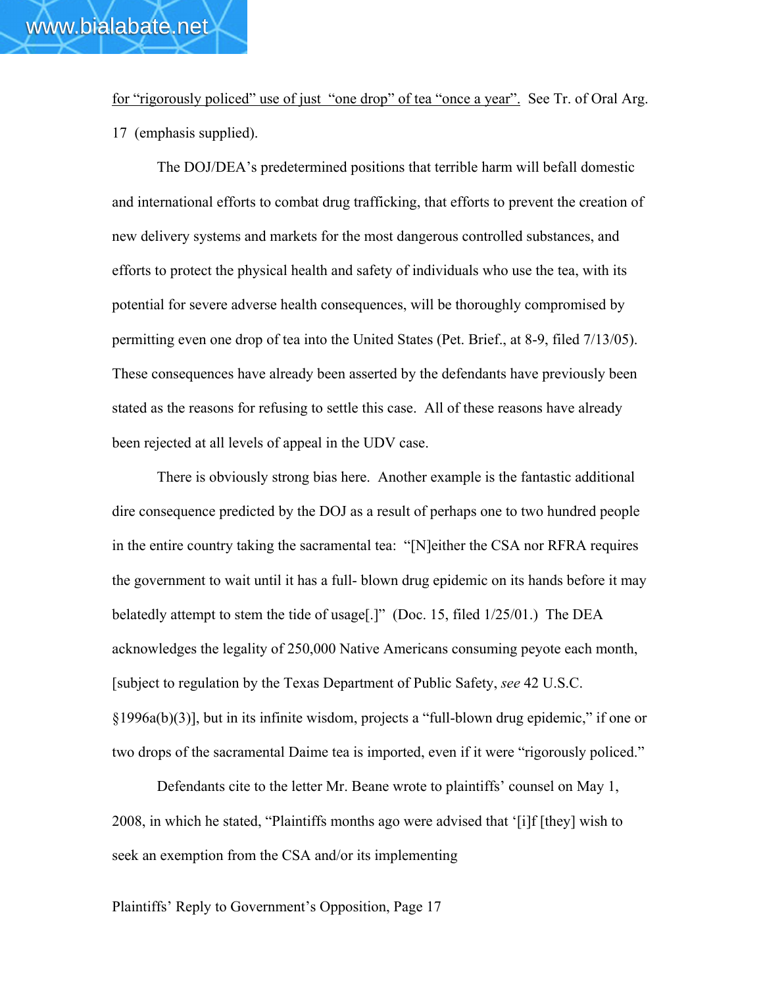for "rigorously policed" use of just "one drop" of tea "once a year". See Tr. of Oral Arg. 17 (emphasis supplied).

The DOJ/DEA's predetermined positions that terrible harm will befall domestic and international efforts to combat drug trafficking, that efforts to prevent the creation of new delivery systems and markets for the most dangerous controlled substances, and efforts to protect the physical health and safety of individuals who use the tea, with its potential for severe adverse health consequences, will be thoroughly compromised by permitting even one drop of tea into the United States (Pet. Brief., at 8-9, filed 7/13/05). These consequences have already been asserted by the defendants have previously been stated as the reasons for refusing to settle this case. All of these reasons have already been rejected at all levels of appeal in the UDV case.

There is obviously strong bias here. Another example is the fantastic additional dire consequence predicted by the DOJ as a result of perhaps one to two hundred people in the entire country taking the sacramental tea: "[N]either the CSA nor RFRA requires the government to wait until it has a full- blown drug epidemic on its hands before it may belatedly attempt to stem the tide of usage[.]" (Doc. 15, filed 1/25/01.) The DEA acknowledges the legality of 250,000 Native Americans consuming peyote each month, [subject to regulation by the Texas Department of Public Safety, *see* 42 U.S.C. §1996a(b)(3)], but in its infinite wisdom, projects a "full-blown drug epidemic," if one or two drops of the sacramental Daime tea is imported, even if it were "rigorously policed."

Defendants cite to the letter Mr. Beane wrote to plaintiffs' counsel on May 1, 2008, in which he stated, "Plaintiffs months ago were advised that '[i]f [they] wish to seek an exemption from the CSA and/or its implementing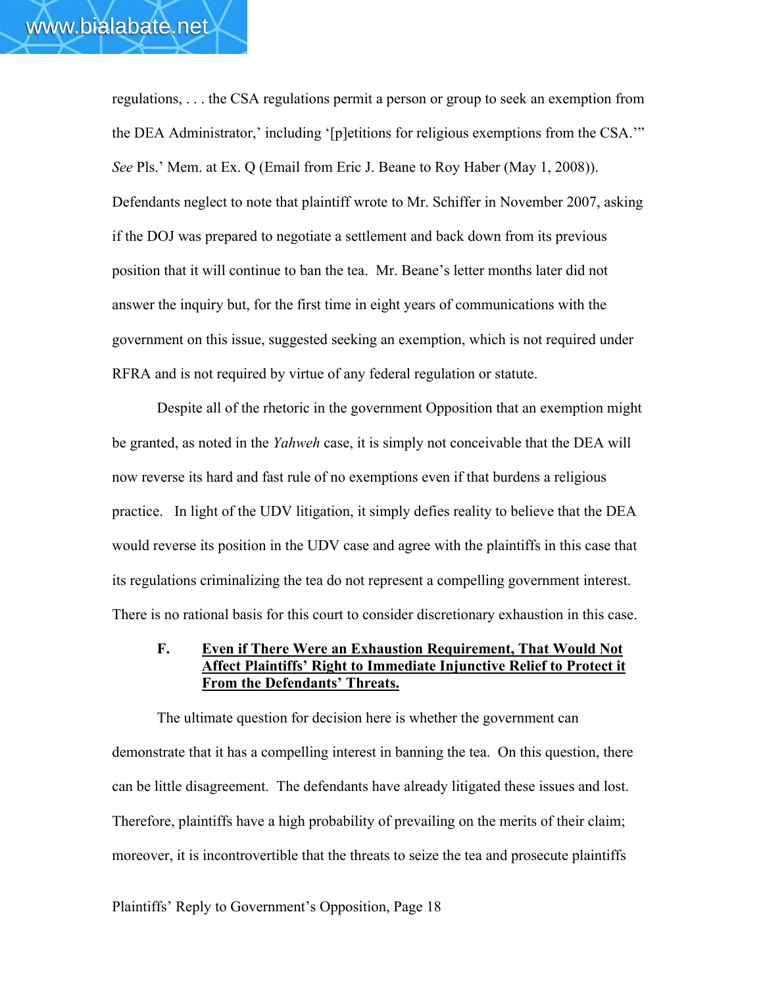regulations, . . . the CSA regulations permit a person or group to seek an exemption from the DEA Administrator,' including '[p]etitions for religious exemptions from the CSA.'" *See* Pls.' Mem. at Ex. Q (Email from Eric J. Beane to Roy Haber (May 1, 2008)). Defendants neglect to note that plaintiff wrote to Mr. Schiffer in November 2007, asking if the DOJ was prepared to negotiate a settlement and back down from its previous position that it will continue to ban the tea. Mr. Beane's letter months later did not answer the inquiry but, for the first time in eight years of communications with the government on this issue, suggested seeking an exemption, which is not required under RFRA and is not required by virtue of any federal regulation or statute.

Despite all of the rhetoric in the government Opposition that an exemption might be granted, as noted in the *Yahweh* case, it is simply not conceivable that the DEA will now reverse its hard and fast rule of no exemptions even if that burdens a religious practice. In light of the UDV litigation, it simply defies reality to believe that the DEA would reverse its position in the UDV case and agree with the plaintiffs in this case that its regulations criminalizing the tea do not represent a compelling government interest. There is no rational basis for this court to consider discretionary exhaustion in this case.

#### F. Even if There Were an Exhaustion Requirement, That Would Not Affect Plaintiffs' Right to Immediate Injunctive Relief to Protect it From the Defendants' Threats.

The ultimate question for decision here is whether the government can demonstrate that it has a compelling interest in banning the tea. On this question, there can be little disagreement. The defendants have already litigated these issues and lost. Therefore, plaintiffs have a high probability of prevailing on the merits of their claim; moreover, it is incontrovertible that the threats to seize the tea and prosecute plaintiffs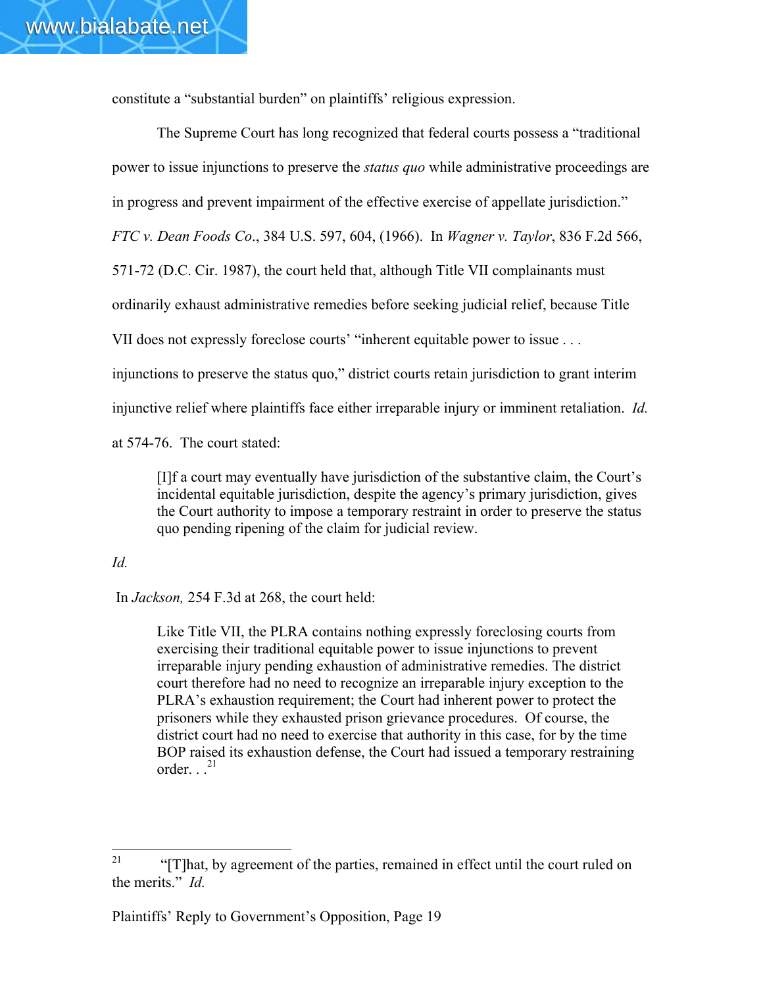constitute a "substantial burden" on plaintiffs' religious expression.

The Supreme Court has long recognized that federal courts possess a "traditional power to issue injunctions to preserve the *status quo* while administrative proceedings are in progress and prevent impairment of the effective exercise of appellate jurisdiction." *FTC v. Dean Foods Co*., 384 U.S. 597, 604, (1966). In *Wagner v. Taylor*, 836 F.2d 566, 571-72 (D.C. Cir. 1987), the court held that, although Title VII complainants must ordinarily exhaust administrative remedies before seeking judicial relief, because Title VII does not expressly foreclose courts' "inherent equitable power to issue . . . injunctions to preserve the status quo," district courts retain jurisdiction to grant interim injunctive relief where plaintiffs face either irreparable injury or imminent retaliation. *Id.* at 574-76. The court stated:

[I]f a court may eventually have jurisdiction of the substantive claim, the Court's incidental equitable jurisdiction, despite the agency's primary jurisdiction, gives the Court authority to impose a temporary restraint in order to preserve the status quo pending ripening of the claim for judicial review.

#### *Id.*

In *Jackson,* 254 F.3d at 268, the court held:

Like Title VII, the PLRA contains nothing expressly foreclosing courts from exercising their traditional equitable power to issue injunctions to prevent irreparable injury pending exhaustion of administrative remedies. The district court therefore had no need to recognize an irreparable injury exception to the PLRA's exhaustion requirement; the Court had inherent power to protect the prisoners while they exhausted prison grievance procedures. Of course, the district court had no need to exercise that authority in this case, for by the time BOP raised its exhaustion defense, the Court had issued a temporary restraining order.  $\cdot$ <sup>21</sup>

<sup>&</sup>lt;sup>21</sup> "[T]hat, by agreement of the parties, remained in effect until the court ruled on the merits." *Id.*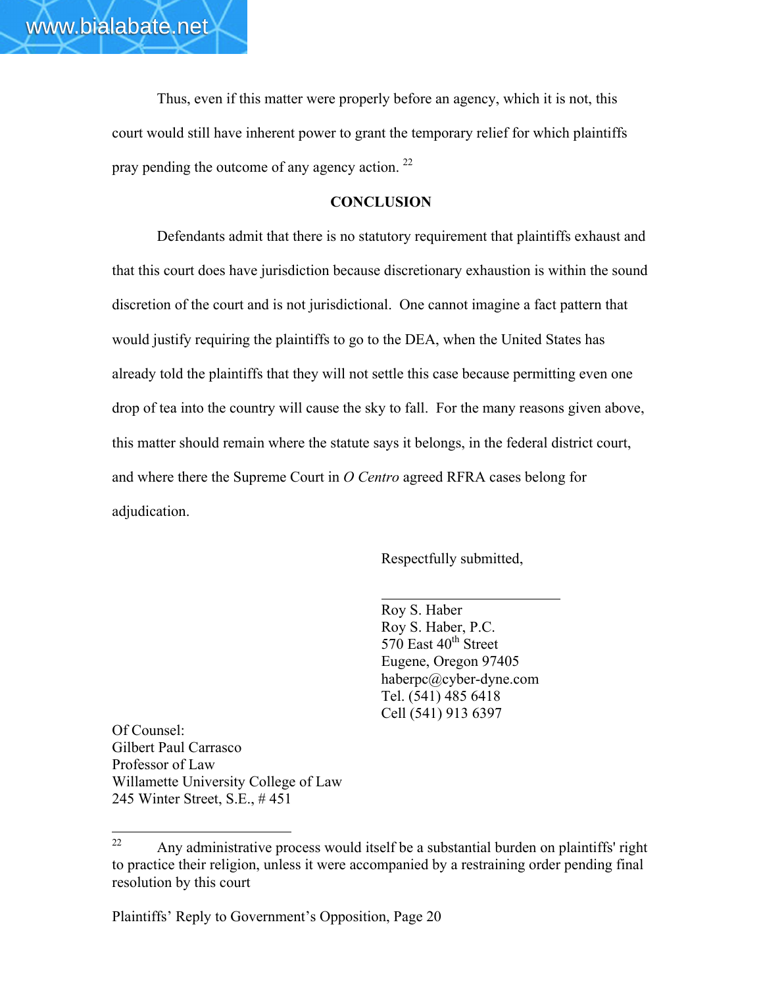Thus, even if this matter were properly before an agency, which it is not, this court would still have inherent power to grant the temporary relief for which plaintiffs pray pending the outcome of any agency action.  $^{22}$ 

#### **CONCLUSION**

Defendants admit that there is no statutory requirement that plaintiffs exhaust and that this court does have jurisdiction because discretionary exhaustion is within the sound discretion of the court and is not jurisdictional. One cannot imagine a fact pattern that would justify requiring the plaintiffs to go to the DEA, when the United States has already told the plaintiffs that they will not settle this case because permitting even one drop of tea into the country will cause the sky to fall. For the many reasons given above, this matter should remain where the statute says it belongs, in the federal district court, and where there the Supreme Court in *O Centro* agreed RFRA cases belong for adjudication.

Respectfully submitted,

Roy S. Haber Roy S. Haber, P.C.  $570$  East  $40<sup>th</sup>$  Street Eugene, Oregon 97405 haberpc@cyber-dyne.com Tel. (541) 485 6418 Cell (541) 913 6397

Of Counsel: Gilbert Paul Carrasco Professor of Law Willamette University College of Law 245 Winter Street, S.E., # 451

 $22$  Any administrative process would itself be a substantial burden on plaintiffs' right to practice their religion, unless it were accompanied by a restraining order pending final resolution by this court